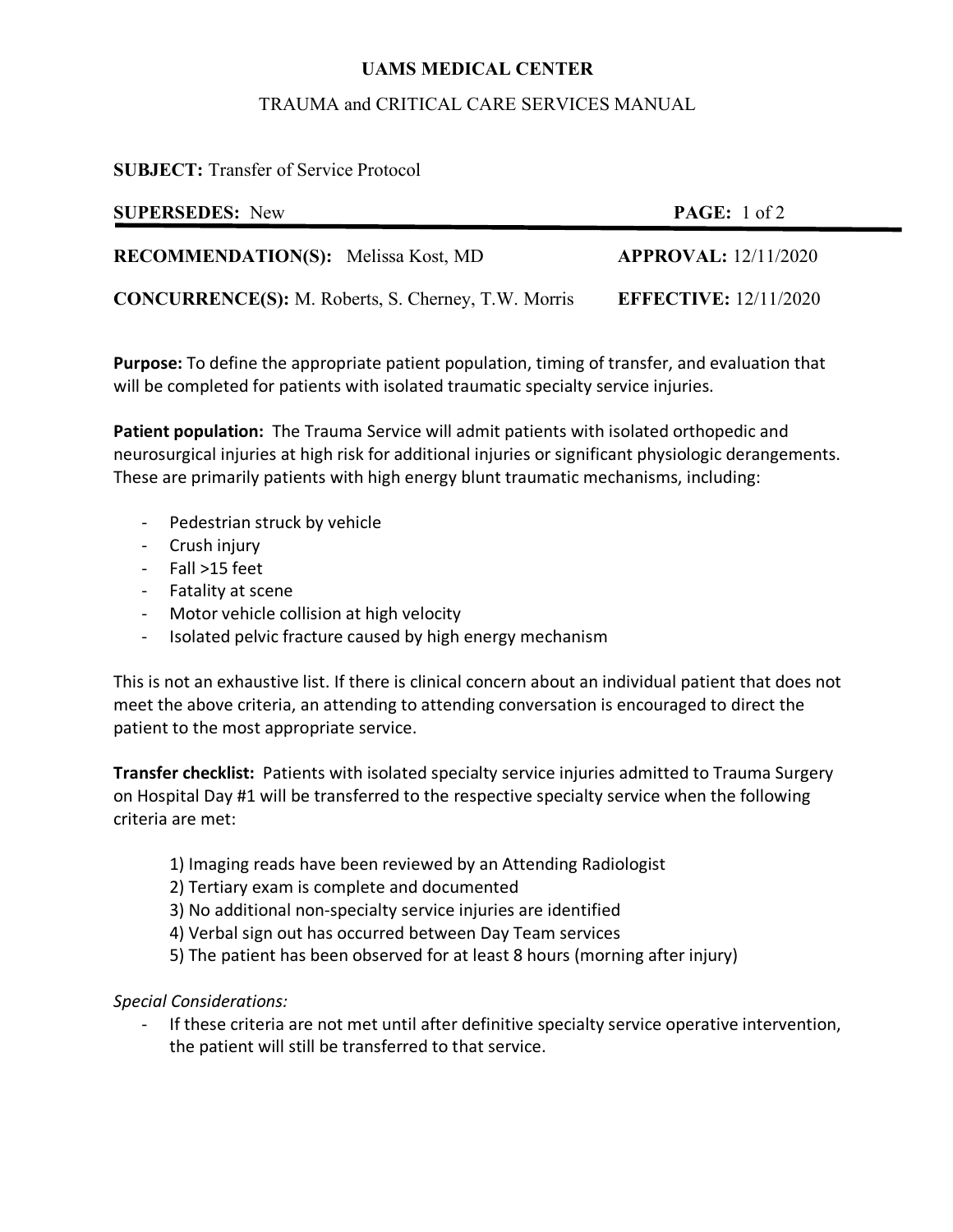# **UAMS MEDICAL CENTER**

## TRAUMA and CRITICAL CARE SERVICES MANUAL

**SUBJECT:** Transfer of Service Protocol

| <b>SUPERSEDES:</b> New                                     | <b>PAGE:</b> $1 \text{ of } 2$ |
|------------------------------------------------------------|--------------------------------|
| <b>RECOMMENDATION(S):</b> Melissa Kost, MD                 | <b>APPROVAL:</b> 12/11/2020    |
| <b>CONCURRENCE(S):</b> M. Roberts, S. Cherney, T.W. Morris | <b>EFFECTIVE: 12/11/2020</b>   |

**Purpose:** To define the appropriate patient population, timing of transfer, and evaluation that will be completed for patients with isolated traumatic specialty service injuries.

**Patient population:** The Trauma Service will admit patients with isolated orthopedic and neurosurgical injuries at high risk for additional injuries or significant physiologic derangements. These are primarily patients with high energy blunt traumatic mechanisms, including:

- Pedestrian struck by vehicle
- Crush injury
- Fall >15 feet
- Fatality at scene
- Motor vehicle collision at high velocity
- Isolated pelvic fracture caused by high energy mechanism

This is not an exhaustive list. If there is clinical concern about an individual patient that does not meet the above criteria, an attending to attending conversation is encouraged to direct the patient to the most appropriate service.

**Transfer checklist:** Patients with isolated specialty service injuries admitted to Trauma Surgery on Hospital Day #1 will be transferred to the respective specialty service when the following criteria are met:

- 1) Imaging reads have been reviewed by an Attending Radiologist
- 2) Tertiary exam is complete and documented
- 3) No additional non-specialty service injuries are identified
- 4) Verbal sign out has occurred between Day Team services
- 5) The patient has been observed for at least 8 hours (morning after injury)

#### *Special Considerations:*

- If these criteria are not met until after definitive specialty service operative intervention, the patient will still be transferred to that service.